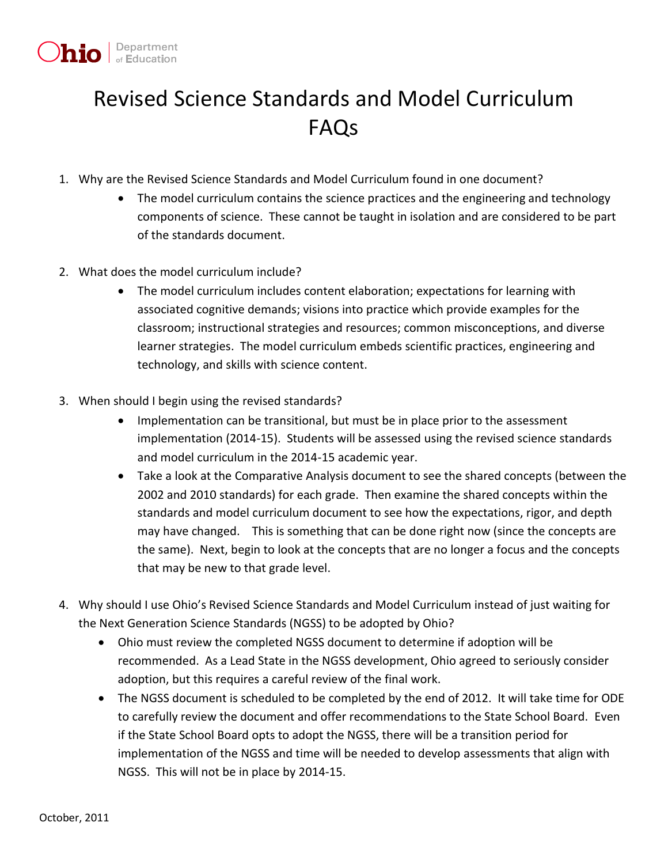

## Revised Science Standards and Model Curriculum FAQs

- 1. Why are the Revised Science Standards and Model Curriculum found in one document?
	- The model curriculum contains the science practices and the engineering and technology components of science. These cannot be taught in isolation and are considered to be part of the standards document.
- 2. What does the model curriculum include?
	- The model curriculum includes content elaboration; expectations for learning with associated cognitive demands; visions into practice which provide examples for the classroom; instructional strategies and resources; common misconceptions, and diverse learner strategies. The model curriculum embeds scientific practices, engineering and technology, and skills with science content.
- 3. When should I begin using the revised standards?
	- Implementation can be transitional, but must be in place prior to the assessment implementation (2014-15). Students will be assessed using the revised science standards and model curriculum in the 2014-15 academic year.
	- Take a look at the Comparative Analysis document to see the shared concepts (between the 2002 and 2010 standards) for each grade. Then examine the shared concepts within the standards and model curriculum document to see how the expectations, rigor, and depth may have changed. This is something that can be done right now (since the concepts are the same). Next, begin to look at the concepts that are no longer a focus and the concepts that may be new to that grade level.
- 4. Why should I use Ohio's Revised Science Standards and Model Curriculum instead of just waiting for the Next Generation Science Standards (NGSS) to be adopted by Ohio?
	- Ohio must review the completed NGSS document to determine if adoption will be recommended. As a Lead State in the NGSS development, Ohio agreed to seriously consider adoption, but this requires a careful review of the final work.
	- The NGSS document is scheduled to be completed by the end of 2012. It will take time for ODE to carefully review the document and offer recommendations to the State School Board. Even if the State School Board opts to adopt the NGSS, there will be a transition period for implementation of the NGSS and time will be needed to develop assessments that align with NGSS. This will not be in place by 2014-15.